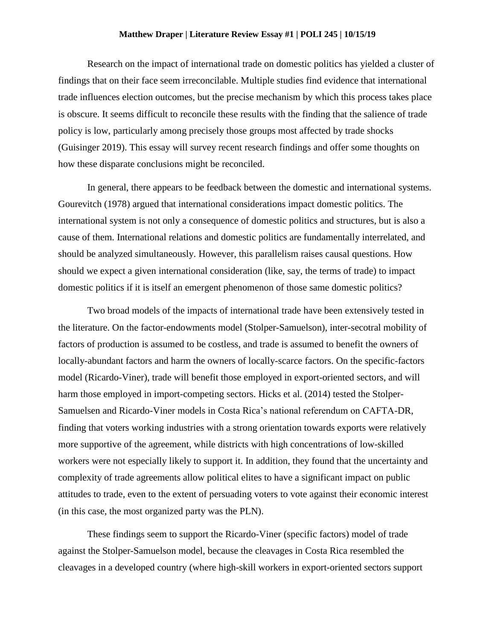## **Matthew Draper | Literature Review Essay #1 | POLI 245 | 10/15/19**

Research on the impact of international trade on domestic politics has yielded a cluster of findings that on their face seem irreconcilable. Multiple studies find evidence that international trade influences election outcomes, but the precise mechanism by which this process takes place is obscure. It seems difficult to reconcile these results with the finding that the salience of trade policy is low, particularly among precisely those groups most affected by trade shocks (Guisinger 2019). This essay will survey recent research findings and offer some thoughts on how these disparate conclusions might be reconciled.

In general, there appears to be feedback between the domestic and international systems. Gourevitch (1978) argued that international considerations impact domestic politics. The international system is not only a consequence of domestic politics and structures, but is also a cause of them. International relations and domestic politics are fundamentally interrelated, and should be analyzed simultaneously. However, this parallelism raises causal questions. How should we expect a given international consideration (like, say, the terms of trade) to impact domestic politics if it is itself an emergent phenomenon of those same domestic politics?

Two broad models of the impacts of international trade have been extensively tested in the literature. On the factor-endowments model (Stolper-Samuelson), inter-secotral mobility of factors of production is assumed to be costless, and trade is assumed to benefit the owners of locally-abundant factors and harm the owners of locally-scarce factors. On the specific-factors model (Ricardo-Viner), trade will benefit those employed in export-oriented sectors, and will harm those employed in import-competing sectors. Hicks et al. (2014) tested the Stolper-Samuelsen and Ricardo-Viner models in Costa Rica's national referendum on CAFTA-DR, finding that voters working industries with a strong orientation towards exports were relatively more supportive of the agreement, while districts with high concentrations of low-skilled workers were not especially likely to support it. In addition, they found that the uncertainty and complexity of trade agreements allow political elites to have a significant impact on public attitudes to trade, even to the extent of persuading voters to vote against their economic interest (in this case, the most organized party was the PLN).

These findings seem to support the Ricardo-Viner (specific factors) model of trade against the Stolper-Samuelson model, because the cleavages in Costa Rica resembled the cleavages in a developed country (where high-skill workers in export-oriented sectors support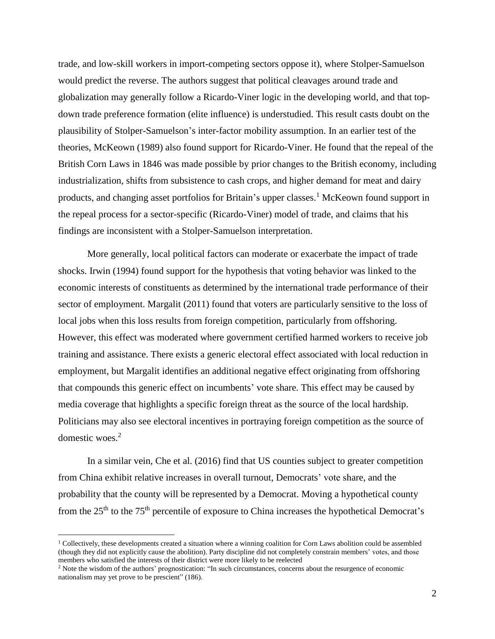trade, and low-skill workers in import-competing sectors oppose it), where Stolper-Samuelson would predict the reverse. The authors suggest that political cleavages around trade and globalization may generally follow a Ricardo-Viner logic in the developing world, and that topdown trade preference formation (elite influence) is understudied. This result casts doubt on the plausibility of Stolper-Samuelson's inter-factor mobility assumption. In an earlier test of the theories, McKeown (1989) also found support for Ricardo-Viner. He found that the repeal of the British Corn Laws in 1846 was made possible by prior changes to the British economy, including industrialization, shifts from subsistence to cash crops, and higher demand for meat and dairy products, and changing asset portfolios for Britain's upper classes.<sup>1</sup> McKeown found support in the repeal process for a sector-specific (Ricardo-Viner) model of trade, and claims that his findings are inconsistent with a Stolper-Samuelson interpretation.

More generally, local political factors can moderate or exacerbate the impact of trade shocks. Irwin (1994) found support for the hypothesis that voting behavior was linked to the economic interests of constituents as determined by the international trade performance of their sector of employment. Margalit (2011) found that voters are particularly sensitive to the loss of local jobs when this loss results from foreign competition, particularly from offshoring. However, this effect was moderated where government certified harmed workers to receive job training and assistance. There exists a generic electoral effect associated with local reduction in employment, but Margalit identifies an additional negative effect originating from offshoring that compounds this generic effect on incumbents' vote share. This effect may be caused by media coverage that highlights a specific foreign threat as the source of the local hardship. Politicians may also see electoral incentives in portraying foreign competition as the source of domestic woes.<sup>2</sup>

In a similar vein, Che et al. (2016) find that US counties subject to greater competition from China exhibit relative increases in overall turnout, Democrats' vote share, and the probability that the county will be represented by a Democrat. Moving a hypothetical county from the 25th to the 75th percentile of exposure to China increases the hypothetical Democrat's

 $\overline{\phantom{a}}$ 

<sup>&</sup>lt;sup>1</sup> Collectively, these developments created a situation where a winning coalition for Corn Laws abolition could be assembled (though they did not explicitly cause the abolition). Party discipline did not completely constrain members' votes, and those members who satisfied the interests of their district were more likely to be reelected

<sup>&</sup>lt;sup>2</sup> Note the wisdom of the authors' prognostication: "In such circumstances, concerns about the resurgence of economic nationalism may yet prove to be prescient" (186).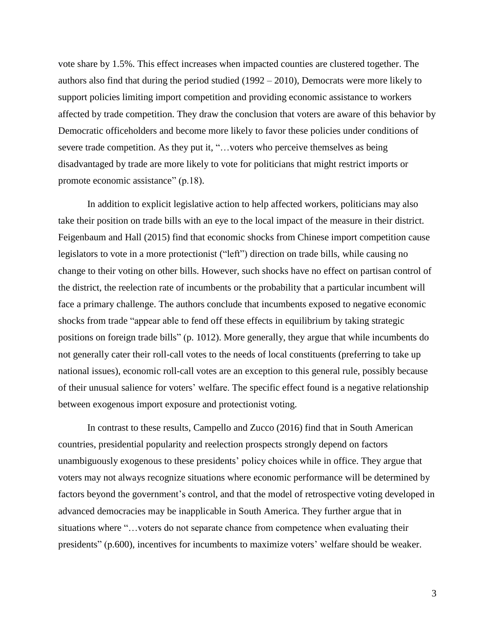vote share by 1.5%. This effect increases when impacted counties are clustered together. The authors also find that during the period studied (1992 – 2010), Democrats were more likely to support policies limiting import competition and providing economic assistance to workers affected by trade competition. They draw the conclusion that voters are aware of this behavior by Democratic officeholders and become more likely to favor these policies under conditions of severe trade competition. As they put it, "...voters who perceive themselves as being disadvantaged by trade are more likely to vote for politicians that might restrict imports or promote economic assistance" (p.18).

In addition to explicit legislative action to help affected workers, politicians may also take their position on trade bills with an eye to the local impact of the measure in their district. Feigenbaum and Hall (2015) find that economic shocks from Chinese import competition cause legislators to vote in a more protectionist ("left") direction on trade bills, while causing no change to their voting on other bills. However, such shocks have no effect on partisan control of the district, the reelection rate of incumbents or the probability that a particular incumbent will face a primary challenge. The authors conclude that incumbents exposed to negative economic shocks from trade "appear able to fend off these effects in equilibrium by taking strategic positions on foreign trade bills" (p. 1012). More generally, they argue that while incumbents do not generally cater their roll-call votes to the needs of local constituents (preferring to take up national issues), economic roll-call votes are an exception to this general rule, possibly because of their unusual salience for voters' welfare. The specific effect found is a negative relationship between exogenous import exposure and protectionist voting.

In contrast to these results, Campello and Zucco (2016) find that in South American countries, presidential popularity and reelection prospects strongly depend on factors unambiguously exogenous to these presidents' policy choices while in office. They argue that voters may not always recognize situations where economic performance will be determined by factors beyond the government's control, and that the model of retrospective voting developed in advanced democracies may be inapplicable in South America. They further argue that in situations where "…voters do not separate chance from competence when evaluating their presidents" (p.600), incentives for incumbents to maximize voters' welfare should be weaker.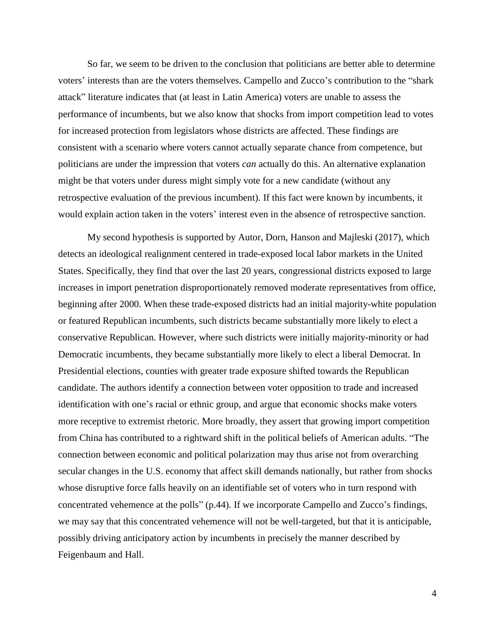So far, we seem to be driven to the conclusion that politicians are better able to determine voters' interests than are the voters themselves. Campello and Zucco's contribution to the "shark attack" literature indicates that (at least in Latin America) voters are unable to assess the performance of incumbents, but we also know that shocks from import competition lead to votes for increased protection from legislators whose districts are affected. These findings are consistent with a scenario where voters cannot actually separate chance from competence, but politicians are under the impression that voters *can* actually do this. An alternative explanation might be that voters under duress might simply vote for a new candidate (without any retrospective evaluation of the previous incumbent). If this fact were known by incumbents, it would explain action taken in the voters' interest even in the absence of retrospective sanction.

My second hypothesis is supported by Autor, Dorn, Hanson and Majleski (2017), which detects an ideological realignment centered in trade-exposed local labor markets in the United States. Specifically, they find that over the last 20 years, congressional districts exposed to large increases in import penetration disproportionately removed moderate representatives from office, beginning after 2000. When these trade-exposed districts had an initial majority-white population or featured Republican incumbents, such districts became substantially more likely to elect a conservative Republican. However, where such districts were initially majority-minority or had Democratic incumbents, they became substantially more likely to elect a liberal Democrat. In Presidential elections, counties with greater trade exposure shifted towards the Republican candidate. The authors identify a connection between voter opposition to trade and increased identification with one's racial or ethnic group, and argue that economic shocks make voters more receptive to extremist rhetoric. More broadly, they assert that growing import competition from China has contributed to a rightward shift in the political beliefs of American adults. "The connection between economic and political polarization may thus arise not from overarching secular changes in the U.S. economy that affect skill demands nationally, but rather from shocks whose disruptive force falls heavily on an identifiable set of voters who in turn respond with concentrated vehemence at the polls" (p.44). If we incorporate Campello and Zucco's findings, we may say that this concentrated vehemence will not be well-targeted, but that it is anticipable, possibly driving anticipatory action by incumbents in precisely the manner described by Feigenbaum and Hall.